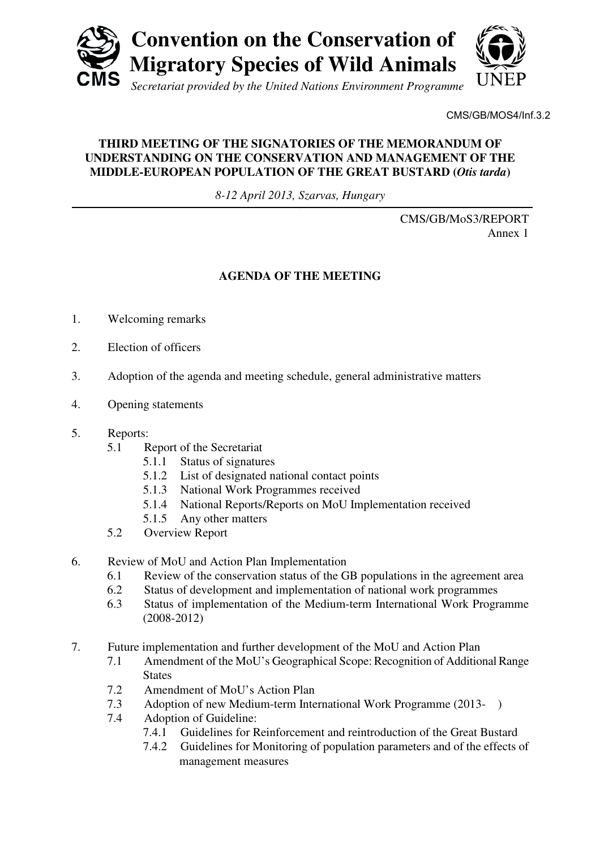

CMS/GB/MOS4/Inf.3.2

## **THIRD MEETING OF THE SIGNATORIES OF THE MEMORANDUM OF UNDERSTANDING ON THE CONSERVATION AND MANAGEMENT OF THE MIDDLE-EUROPEAN POPULATION OF THE GREAT BUSTARD (***Otis tarda***)**

*8-12 April 2013, Szarvas, Hungary* 

CMS/GB/MoS3/REPORT Annex 1

## **AGENDA OF THE MEETING**

- 1. Welcoming remarks
- 2. Election of officers
- 3. Adoption of the agenda and meeting schedule, general administrative matters
- 4. Opening statements
- 5. Reports:
	- 5.1 Report of the Secretariat
		- 5.1.1 Status of signatures
		- 5.1.2 List of designated national contact points
		- 5.1.3 National Work Programmes received
		- 5.1.4 National Reports/Reports on MoU Implementation received
		- 5.1.5 Any other matters
	- 5.2 Overview Report
- 6. Review of MoU and Action Plan Implementation
	- 6.1 Review of the conservation status of the GB populations in the agreement area
	- 6.2 Status of development and implementation of national work programmes
	- 6.3 Status of implementation of the Medium-term International Work Programme (2008-2012)
- 7. Future implementation and further development of the MoU and Action Plan
	- 7.1 Amendment of the MoU's Geographical Scope: Recognition of Additional Range **States**
	- 7.2 Amendment of MoU's Action Plan
	- 7.3 Adoption of new Medium-term International Work Programme (2013- )
	- 7.4 Adoption of Guideline:
		- 7.4.1 Guidelines for Reinforcement and reintroduction of the Great Bustard
		- 7.4.2 Guidelines for Monitoring of population parameters and of the effects of management measures